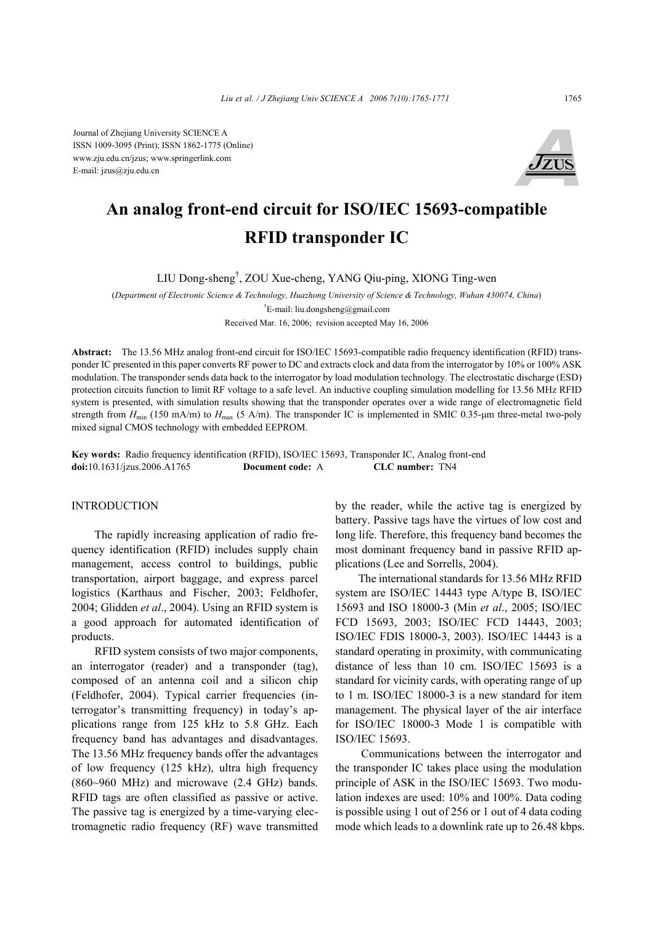Journal of Zhejiang University SCIENCE A ISSN 1009-3095 (Print); ISSN 1862-1775 (Online) www.zju.edu.cn/jzus; www.springerlink.com E-mail: jzus@zju.edu.cn



# **An analog front-end circuit for ISO/IEC 15693-compatible RFID transponder IC**

LIU Dong-sheng† , ZOU Xue-cheng, YANG Qiu-ping, XIONG Ting-wen

(*Department of Electronic Science & Technology, Huazhong University of Science & Technology, Wuhan 430074, China*) † E-mail: liu.dongsheng@gmail.com

Received Mar. 16, 2006; revision accepted May 16, 2006

**Abstract:** The 13.56 MHz analog front-end circuit for ISO/IEC 15693-compatible radio frequency identification (RFID) transponder IC presented in this paper converts RF power to DC and extracts clock and data from the interrogator by 10% or 100% ASK modulation. The transponder sends data back to the interrogator by load modulation technology. The electrostatic discharge (ESD) protection circuits function to limit RF voltage to a safe level. An inductive coupling simulation modelling for 13.56 MHz RFID system is presented, with simulation results showing that the transponder operates over a wide range of electromagnetic field strength from  $H_{\text{min}}$  (150 mA/m) to  $H_{\text{max}}$  (5 A/m). The transponder IC is implemented in SMIC 0.35-µm three-metal two-poly mixed signal CMOS technology with embedded EEPROM.

**Key words:** Radio frequency identification (RFID), ISO/IEC 15693, Transponder IC, Analog front-end **doi:**10.1631/jzus.2006.A1765 **Document code:** A **CLC number:** TN4

## INTRODUCTION

The rapidly increasing application of radio frequency identification (RFID) includes supply chain management, access control to buildings, public transportation, airport baggage, and express parcel logistics (Karthaus and Fischer, 2003; Feldhofer, 2004; Glidden *et al*., 2004). Using an RFID system is a good approach for automated identification of products.

RFID system consists of two major components, an interrogator (reader) and a transponder (tag), composed of an antenna coil and a silicon chip (Feldhofer, 2004). Typical carrier frequencies (interrogator's transmitting frequency) in today's applications range from 125 kHz to 5.8 GHz. Each frequency band has advantages and disadvantages. The 13.56 MHz frequency bands offer the advantages of low frequency (125 kHz), ultra high frequency (860~960 MHz) and microwave (2.4 GHz) bands. RFID tags are often classified as passive or active. The passive tag is energized by a time-varying electromagnetic radio frequency (RF) wave transmitted by the reader, while the active tag is energized by battery. Passive tags have the virtues of low cost and long life. Therefore, this frequency band becomes the most dominant frequency band in passive RFID applications (Lee and Sorrells, 2004).

The international standards for 13.56 MHz RFID system are ISO/IEC 14443 type A/type B, ISO/IEC 15693 and ISO 18000-3 (Min *et al*., 2005; ISO/IEC FCD 15693, 2003; ISO/IEC FCD 14443, 2003; ISO/IEC FDIS 18000-3, 2003). ISO/IEC 14443 is a standard operating in proximity, with communicating distance of less than 10 cm. ISO/IEC 15693 is a standard for vicinity cards, with operating range of up to 1 m. ISO/IEC 18000-3 is a new standard for item management. The physical layer of the air interface for ISO/IEC 18000-3 Mode 1 is compatible with ISO/IEC 15693.

 Communications between the interrogator and the transponder IC takes place using the modulation principle of ASK in the ISO/IEC 15693. Two modulation indexes are used: 10% and 100%. Data coding is possible using 1 out of 256 or 1 out of 4 data coding mode which leads to a downlink rate up to 26.48 kbps.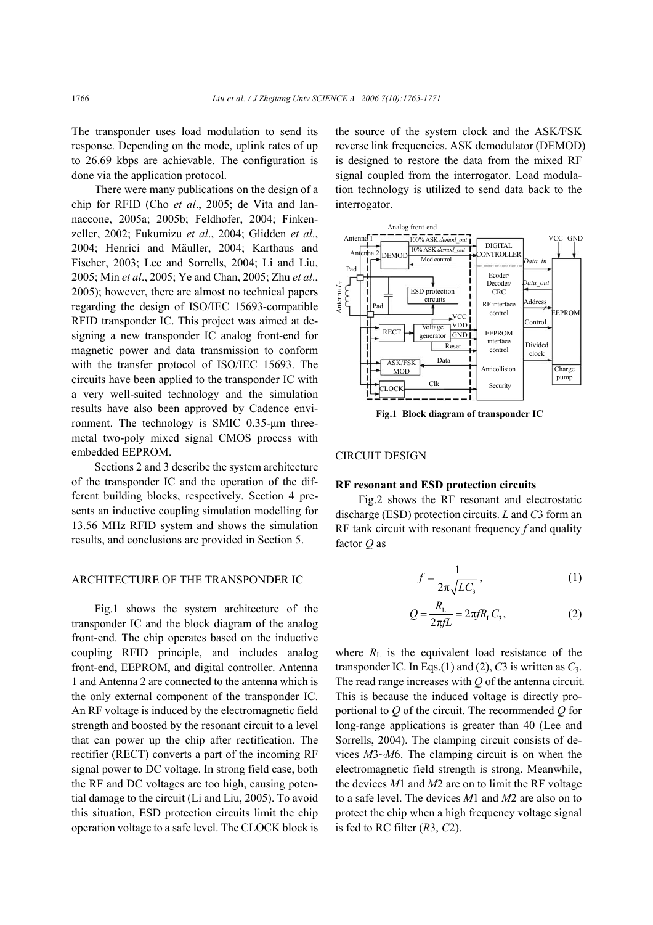The transponder uses load modulation to send its response. Depending on the mode, uplink rates of up to 26.69 kbps are achievable. The configuration is done via the application protocol.

There were many publications on the design of a chip for RFID (Cho *et al*., 2005; de Vita and Iannaccone, 2005a; 2005b; Feldhofer, 2004; Finkenzeller, 2002; Fukumizu *et al*., 2004; Glidden *et al*., 2004; Henrici and Mäuller, 2004; Karthaus and Fischer, 2003; Lee and Sorrells, 2004; Li and Liu, 2005; Min *et al*., 2005; Ye and Chan, 2005; Zhu *et al*., 2005); however, there are almost no technical papers regarding the design of ISO/IEC 15693-compatible RFID transponder IC. This project was aimed at designing a new transponder IC analog front-end for magnetic power and data transmission to conform with the transfer protocol of ISO/IEC 15693. The circuits have been applied to the transponder IC with a very well-suited technology and the simulation results have also been approved by Cadence environment. The technology is SMIC 0.35-µm threemetal two-poly mixed signal CMOS process with embedded EEPROM.

Sections 2 and 3 describe the system architecture of the transponder IC and the operation of the different building blocks, respectively. Section 4 presents an inductive coupling simulation modelling for 13.56 MHz RFID system and shows the simulation results, and conclusions are provided in Section 5.

## ARCHITECTURE OF THE TRANSPONDER IC

Fig.1 shows the system architecture of the transponder IC and the block diagram of the analog front-end. The chip operates based on the inductive coupling RFID principle, and includes analog front-end, EEPROM, and digital controller. Antenna 1 and Antenna 2 are connected to the antenna which is the only external component of the transponder IC. An RF voltage is induced by the electromagnetic field strength and boosted by the resonant circuit to a level that can power up the chip after rectification. The rectifier (RECT) converts a part of the incoming RF signal power to DC voltage. In strong field case, both the RF and DC voltages are too high, causing potential damage to the circuit (Li and Liu, 2005). To avoid this situation, ESD protection circuits limit the chip operation voltage to a safe level. The CLOCK block is

the source of the system clock and the ASK/FSK reverse link frequencies. ASK demodulator (DEMOD) is designed to restore the data from the mixed RF signal coupled from the interrogator. Load modulation technology is utilized to send data back to the interrogator.



**Fig.1 Block diagram of transponder IC**

### CIRCUIT DESIGN

## **RF resonant and ESD protection circuits**

Fig.2 shows the RF resonant and electrostatic discharge (ESD) protection circuits. *L* and *C*3 form an RF tank circuit with resonant frequency *f* and quality factor *Q* as

$$
f = \frac{1}{2\pi\sqrt{LC_3}},\tag{1}
$$

$$
Q = \frac{R_{\rm L}}{2\pi fL} = 2\pi f R_{\rm L} C_3,
$$
 (2)

where  $R_L$  is the equivalent load resistance of the transponder IC. In Eqs.(1) and (2),  $C_3$  is written as  $C_3$ . The read range increases with *Q* of the antenna circuit. This is because the induced voltage is directly proportional to *Q* of the circuit. The recommended *Q* for long-range applications is greater than 40 (Lee and Sorrells, 2004). The clamping circuit consists of devices *M*3~*M*6. The clamping circuit is on when the electromagnetic field strength is strong. Meanwhile, the devices *M*1 and *M*2 are on to limit the RF voltage to a safe level. The devices *M*1 and *M*2 are also on to protect the chip when a high frequency voltage signal is fed to RC filter (*R*3, *C*2).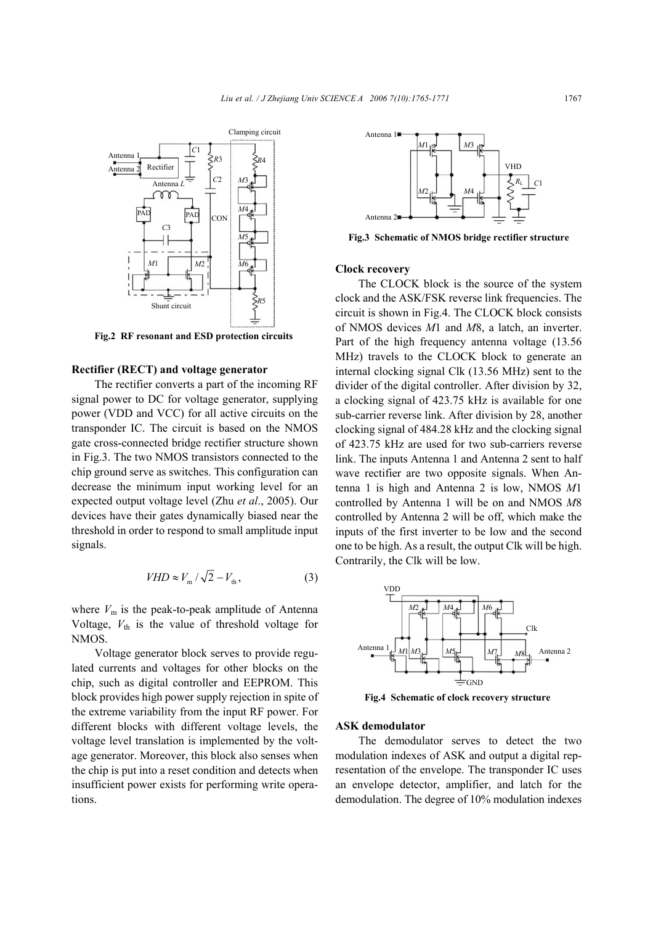

**Fig.2 RF resonant and ESD protection circuits**

## **Rectifier (RECT) and voltage generator**

The rectifier converts a part of the incoming RF signal power to DC for voltage generator, supplying power (VDD and VCC) for all active circuits on the transponder IC. The circuit is based on the NMOS gate cross-connected bridge rectifier structure shown in Fig.3. The two NMOS transistors connected to the chip ground serve as switches. This configuration can decrease the minimum input working level for an expected output voltage level (Zhu *et al*., 2005). Our devices have their gates dynamically biased near the threshold in order to respond to small amplitude input signals.

$$
VHD \approx V_{\rm m} / \sqrt{2} - V_{\rm th},\tag{3}
$$

where  $V_m$  is the peak-to-peak amplitude of Antenna Voltage,  $V_{\text{th}}$  is the value of threshold voltage for NMOS.

Voltage generator block serves to provide regulated currents and voltages for other blocks on the chip, such as digital controller and EEPROM. This block provides high power supply rejection in spite of the extreme variability from the input RF power. For different blocks with different voltage levels, the voltage level translation is implemented by the voltage generator. Moreover, this block also senses when the chip is put into a reset condition and detects when insufficient power exists for performing write operations.



**Fig.3 Schematic of NMOS bridge rectifier structure**

# **Clock recovery**

The CLOCK block is the source of the system clock and the ASK/FSK reverse link frequencies. The circuit is shown in Fig.4. The CLOCK block consists of NMOS devices *M*1 and *M*8, a latch, an inverter. Part of the high frequency antenna voltage (13.56 MHz) travels to the CLOCK block to generate an internal clocking signal Clk (13.56 MHz) sent to the divider of the digital controller. After division by 32, a clocking signal of 423.75 kHz is available for one sub-carrier reverse link. After division by 28, another clocking signal of 484.28 kHz and the clocking signal of 423.75 kHz are used for two sub-carriers reverse link. The inputs Antenna 1 and Antenna 2 sent to half wave rectifier are two opposite signals. When Antenna 1 is high and Antenna 2 is low, NMOS *M*1 controlled by Antenna 1 will be on and NMOS *M*8 controlled by Antenna 2 will be off, which make the inputs of the first inverter to be low and the second one to be high. As a result, the output Clk will be high. Contrarily, the Clk will be low.



**Fig.4 Schematic of clock recovery structure**

## **ASK demodulator**

The demodulator serves to detect the two modulation indexes of ASK and output a digital representation of the envelope. The transponder IC uses an envelope detector, amplifier, and latch for the demodulation. The degree of 10% modulation indexes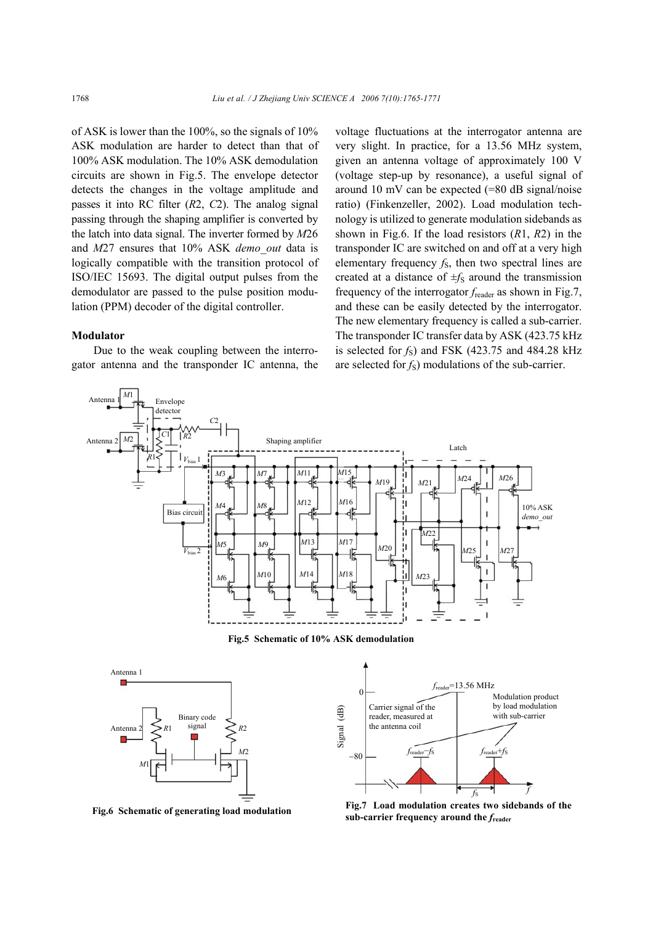of ASK is lower than the 100%, so the signals of 10% ASK modulation are harder to detect than that of 100% ASK modulation. The 10% ASK demodulation circuits are shown in Fig.5. The envelope detector detects the changes in the voltage amplitude and passes it into RC filter (*R*2, *C*2). The analog signal passing through the shaping amplifier is converted by the latch into data signal. The inverter formed by *M*26 and *M*27 ensures that 10% ASK *demo\_out* data is logically compatible with the transition protocol of ISO/IEC 15693. The digital output pulses from the demodulator are passed to the pulse position modulation (PPM) decoder of the digital controller.

# **Modulator**

Due to the weak coupling between the interrogator antenna and the transponder IC antenna, the voltage fluctuations at the interrogator antenna are very slight. In practice, for a 13.56 MHz system, given an antenna voltage of approximately 100 V (voltage step-up by resonance), a useful signal of around 10 mV can be expected (=80 dB signal/noise ratio) (Finkenzeller, 2002). Load modulation technology is utilized to generate modulation sidebands as shown in Fig.6. If the load resistors (*R*1, *R*2) in the transponder IC are switched on and off at a very high elementary frequency *f*<sub>S</sub>, then two spectral lines are created at a distance of  $\pm f_S$  around the transmission frequency of the interrogator *f*reader as shown in Fig.7, and these can be easily detected by the interrogator. The new elementary frequency is called a sub-carrier. The transponder IC transfer data by ASK (423.75 kHz is selected for  $f<sub>S</sub>$ ) and FSK (423.75 and 484.28 kHz are selected for  $f<sub>S</sub>$ ) modulations of the sub-carrier.



**Fig.5 Schematic of 10% ASK demodulation**



**Fig.6 Schematic of generating load modulation**



**Fig.7 Load modulation creates two sidebands of the sub-carrier frequency around the** *f***reader**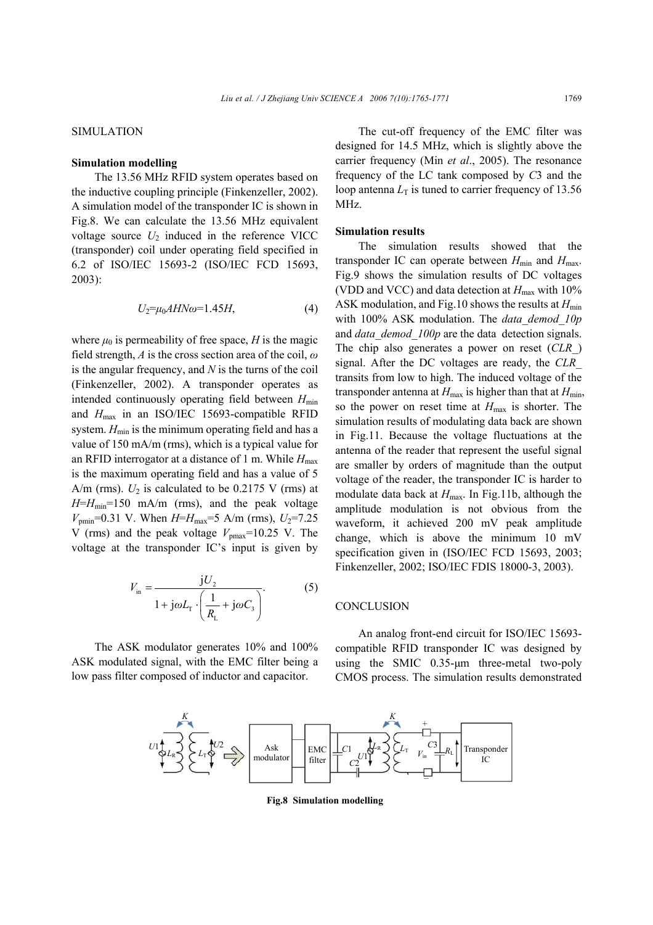#### *Liu et al. / J Zhejiang Univ SCIENCE A 2006 7(10):1765-1771* 1769

# SIMULATION

## **Simulation modelling**

The 13.56 MHz RFID system operates based on the inductive coupling principle (Finkenzeller, 2002). A simulation model of the transponder IC is shown in Fig.8. We can calculate the 13.56 MHz equivalent voltage source  $U_2$  induced in the reference VICC (transponder) coil under operating field specified in 6.2 of ISO/IEC 15693-2 (ISO/IEC FCD 15693, 2003):

$$
U_2 = \mu_0 A H N \omega = 1.45 H, \tag{4}
$$

where  $\mu_0$  is permeability of free space, *H* is the magic field strength, *A* is the cross section area of the coil, *ω* is the angular frequency, and *N* is the turns of the coil (Finkenzeller, 2002). A transponder operates as intended continuously operating field between  $H_{\text{min}}$ and *H*max in an ISO/IEC 15693-compatible RFID system.  $H_{\text{min}}$  is the minimum operating field and has a value of 150 mA/m (rms), which is a typical value for an RFID interrogator at a distance of 1 m. While  $H_{\text{max}}$ is the maximum operating field and has a value of 5 A/m (rms).  $U_2$  is calculated to be 0.2175 V (rms) at *H*=*H*min=150 mA/m (rms), and the peak voltage  $V_{\text{pmin}}$ =0.31 V. When  $H=H_{\text{max}}=5$  A/m (rms),  $U_2=7.25$ V (rms) and the peak voltage  $V_{\text{pmax}}$ =10.25 V. The voltage at the transponder IC's input is given by

$$
V_{\text{in}} = \frac{jU_2}{1 + j\omega L_{\text{T}} \cdot \left(\frac{1}{R_{\text{L}}} + j\omega C_3\right)}.
$$
 (5)

The ASK modulator generates 10% and 100% ASK modulated signal, with the EMC filter being a low pass filter composed of inductor and capacitor.

The cut-off frequency of the EMC filter was designed for 14.5 MHz, which is slightly above the carrier frequency (Min *et al*., 2005). The resonance frequency of the LC tank composed by *C*3 and the loop antenna  $L<sub>T</sub>$  is tuned to carrier frequency of 13.56 MHz.

## **Simulation results**

The simulation results showed that the transponder IC can operate between  $H_{\text{min}}$  and  $H_{\text{max}}$ . Fig.9 shows the simulation results of DC voltages (VDD and VCC) and data detection at  $H_{\text{max}}$  with 10% ASK modulation, and Fig.10 shows the results at  $H_{\text{min}}$ with 100% ASK modulation. The *data\_demod\_10p* and *data\_demod\_100p* are the data detection signals. The chip also generates a power on reset (*CLR\_*) signal. After the DC voltages are ready, the *CLR\_*  transits from low to high. The induced voltage of the transponder antenna at  $H_{\text{max}}$  is higher than that at  $H_{\text{min}}$ , so the power on reset time at *H*max is shorter. The simulation results of modulating data back are shown in Fig.11. Because the voltage fluctuations at the antenna of the reader that represent the useful signal are smaller by orders of magnitude than the output voltage of the reader, the transponder IC is harder to modulate data back at  $H_{\text{max}}$ . In Fig.11b, although the amplitude modulation is not obvious from the waveform, it achieved 200 mV peak amplitude change, which is above the minimum 10 mV specification given in (ISO/IEC FCD 15693, 2003; Finkenzeller, 2002; ISO/IEC FDIS 18000-3, 2003).

#### **CONCLUSION**

An analog front-end circuit for ISO/IEC 15693 compatible RFID transponder IC was designed by using the SMIC 0.35-µm three-metal two-poly CMOS process. The simulation results demonstrated



**Fig.8 Simulation modelling**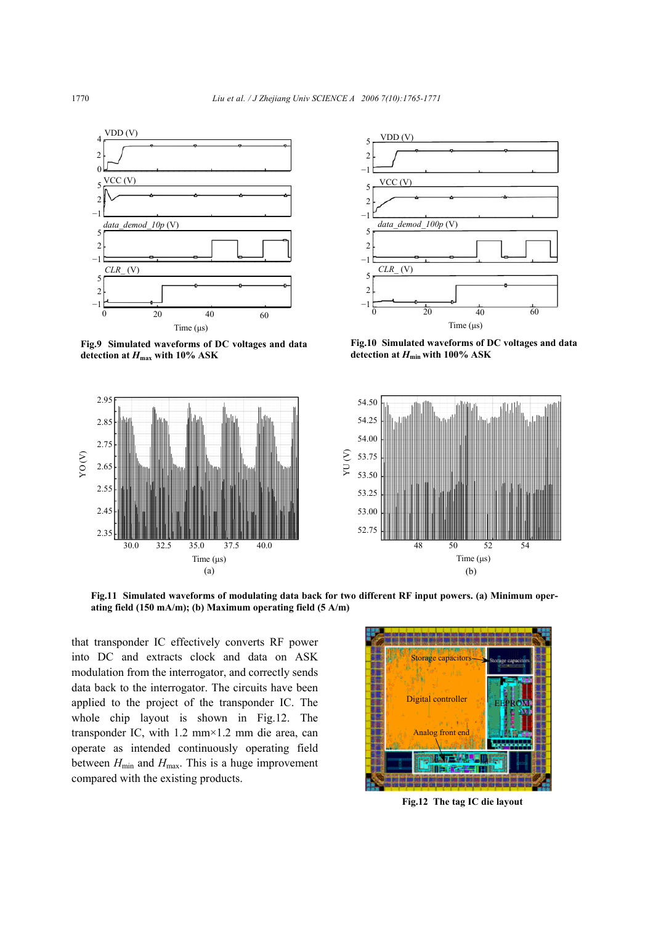

**Fig.9 Simulated waveforms of DC voltages and data detection at** *H***max with 10% ASK**





**Fig.10 Simulated waveforms of DC voltages and data** detection at  $H_{\text{min}}$  with 100% ASK



**Fig.11 Simulated waveforms of modulating data back for two different RF input powers. (a) Minimum operating field (150 mA/m); (b) Maximum operating field (5 A/m)**

that transponder IC effectively converts RF power into DC and extracts clock and data on ASK modulation from the interrogator, and correctly sends data back to the interrogator. The circuits have been applied to the project of the transponder IC. The whole chip layout is shown in Fig.12. The transponder IC, with 1.2 mm×1.2 mm die area, can operate as intended continuously operating field between  $H_{\text{min}}$  and  $H_{\text{max}}$ . This is a huge improvement compared with the existing products.



**Fig.12 The tag IC die layout**